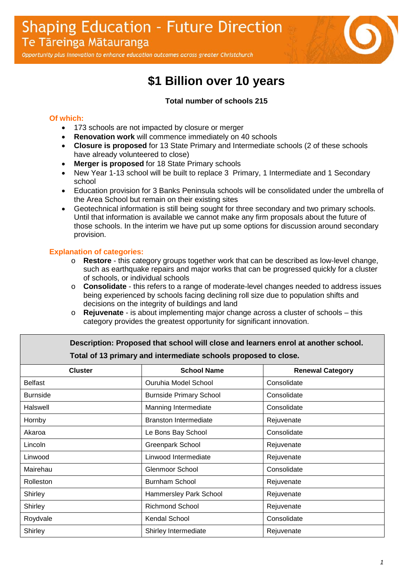Opportunity plus innovation to enhance education outcomes across greater Christchurch

# **\$1 Billion over 10 years**

#### **Total number of schools 215**

#### **Of which:**

- 173 schools are not impacted by closure or merger
- **Renovation work** will commence immediately on 40 schools
- **Closure is proposed** for 13 State Primary and Intermediate schools (2 of these schools have already volunteered to close)
- **Merger is proposed** for 18 State Primary schools
- New Year 1-13 school will be built to replace 3 Primary, 1 Intermediate and 1 Secondary school
- Education provision for 3 Banks Peninsula schools will be consolidated under the umbrella of the Area School but remain on their existing sites
- Geotechnical information is still being sought for three secondary and two primary schools. Until that information is available we cannot make any firm proposals about the future of those schools. In the interim we have put up some options for discussion around secondary provision.

### **Explanation of categories:**

- o **Restore** this category groups together work that can be described as low-level change, such as earthquake repairs and major works that can be progressed quickly for a cluster of schools, or individual schools
- o **Consolidate** this refers to a range of moderate-level changes needed to address issues being experienced by schools facing declining roll size due to population shifts and decisions on the integrity of buildings and land
- o **Rejuvenate** is about implementing major change across a cluster of schools this category provides the greatest opportunity for significant innovation.

| Description: Proposed that school will close and learners enrol at another school. |                                |                         |  |  |  |
|------------------------------------------------------------------------------------|--------------------------------|-------------------------|--|--|--|
| Total of 13 primary and intermediate schools proposed to close.                    |                                |                         |  |  |  |
| <b>Cluster</b>                                                                     | <b>School Name</b>             | <b>Renewal Category</b> |  |  |  |
| <b>Belfast</b>                                                                     | Ouruhia Model School           | Consolidate             |  |  |  |
| <b>Burnside</b>                                                                    | <b>Burnside Primary School</b> | Consolidate             |  |  |  |
| Halswell                                                                           | Manning Intermediate           | Consolidate             |  |  |  |
| Hornby                                                                             | <b>Branston Intermediate</b>   | Rejuvenate              |  |  |  |
| Akaroa                                                                             | Le Bons Bay School             | Consolidate             |  |  |  |
| Lincoln                                                                            | Greenpark School               | Rejuvenate              |  |  |  |
| Linwood                                                                            | Linwood Intermediate           | Rejuvenate              |  |  |  |
| Mairehau                                                                           | <b>Glenmoor School</b>         | Consolidate             |  |  |  |
| Rolleston                                                                          | Burnham School                 | Rejuvenate              |  |  |  |
| Shirley                                                                            | Hammersley Park School         | Rejuvenate              |  |  |  |
| Shirley                                                                            | <b>Richmond School</b>         | Rejuvenate              |  |  |  |
| Roydvale                                                                           | Kendal School                  | Consolidate             |  |  |  |
| Shirley                                                                            | Shirley Intermediate           | Rejuvenate              |  |  |  |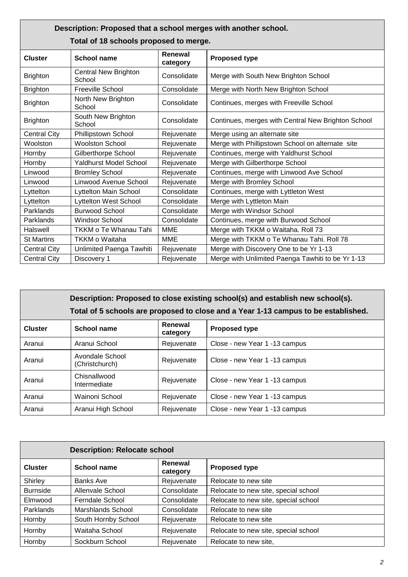| Description: Proposed that a school merges with another school. |                                       |                     |                                                    |
|-----------------------------------------------------------------|---------------------------------------|---------------------|----------------------------------------------------|
| Total of 18 schools proposed to merge.                          |                                       |                     |                                                    |
| <b>Cluster</b>                                                  | <b>School name</b>                    | Renewal<br>category | <b>Proposed type</b>                               |
| <b>Brighton</b>                                                 | <b>Central New Brighton</b><br>School | Consolidate         | Merge with South New Brighton School               |
| <b>Brighton</b>                                                 | <b>Freeville School</b>               | Consolidate         | Merge with North New Brighton School               |
| <b>Brighton</b>                                                 | North New Brighton<br>School          | Consolidate         | Continues, merges with Freeville School            |
| <b>Brighton</b>                                                 | South New Brighton<br>School          | Consolidate         | Continues, merges with Central New Brighton School |
| <b>Central City</b>                                             | Phillipstown School                   | Rejuvenate          | Merge using an alternate site                      |
| Woolston                                                        | <b>Woolston School</b>                | Rejuvenate          | Merge with Phillipstown School on alternate site   |
| Hornby                                                          | Gilberthorpe School                   | Rejuvenate          | Continues, merge with Yaldhurst School             |
| Hornby                                                          | <b>Yaldhurst Model School</b>         | Rejuvenate          | Merge with Gilberthorpe School                     |
| Linwood                                                         | <b>Bromley School</b>                 | Rejuvenate          | Continues, merge with Linwood Ave School           |
| Linwood                                                         | Linwood Avenue School                 | Rejuvenate          | Merge with Bromley School                          |
| Lyttelton                                                       | Lyttelton Main School                 | Consolidate         | Continues, merge with Lyttleton West               |
| Lyttelton                                                       | Lyttelton West School                 | Consolidate         | Merge with Lyttleton Main                          |
| Parklands                                                       | <b>Burwood School</b>                 | Consolidate         | Merge with Windsor School                          |
| Parklands                                                       | <b>Windsor School</b>                 | Consolidate         | Continues, merge with Burwood School               |
| Halswell                                                        | TKKM o Te Whanau Tahi                 | <b>MME</b>          | Merge with TKKM o Waitaha. Roll 73                 |
| <b>St Martins</b>                                               | TKKM o Waitaha                        | <b>MME</b>          | Merge with TKKM o Te Whanau Tahi. Roll 78          |
| <b>Central City</b>                                             | Unlimited Paenga Tawhiti              | Rejuvenate          | Merge with Discovery One to be Yr 1-13             |
| <b>Central City</b>                                             | Discovery 1                           | Rejuvenate          | Merge with Unlimited Paenga Tawhiti to be Yr 1-13  |

| Description: Proposed to close existing school(s) and establish new school(s).<br>Total of 5 schools are proposed to close and a Year 1-13 campus to be established. |                                   |                     |                               |  |
|----------------------------------------------------------------------------------------------------------------------------------------------------------------------|-----------------------------------|---------------------|-------------------------------|--|
| <b>Cluster</b>                                                                                                                                                       | School name                       | Renewal<br>category | <b>Proposed type</b>          |  |
| Aranui                                                                                                                                                               | Aranui School                     | Rejuvenate          | Close - new Year 1 -13 campus |  |
| Aranui                                                                                                                                                               | Avondale School<br>(Christchurch) | Rejuvenate          | Close - new Year 1 -13 campus |  |
| Aranui                                                                                                                                                               | Chisnallwood<br>Intermediate      | Rejuvenate          | Close - new Year 1 -13 campus |  |
| Aranui                                                                                                                                                               | Wainoni School                    | Rejuvenate          | Close - new Year 1 -13 campus |  |
| Aranui                                                                                                                                                               | Aranui High School                | Rejuvenate          | Close - new Year 1 -13 campus |  |

| <b>Description: Relocate school</b> |                         |                     |                                      |  |
|-------------------------------------|-------------------------|---------------------|--------------------------------------|--|
| <b>Cluster</b>                      | <b>School name</b>      | Renewal<br>category | <b>Proposed type</b>                 |  |
| Shirley                             | <b>Banks Ave</b>        | Rejuvenate          | Relocate to new site                 |  |
| <b>Burnside</b>                     | <b>Allenvale School</b> | Consolidate         | Relocate to new site, special school |  |
| Elmwood                             | Ferndale School         | Consolidate         | Relocate to new site, special school |  |
| Parklands                           | Marshlands School       | Consolidate         | Relocate to new site                 |  |
| Hornby                              | South Hornby School     | Rejuvenate          | Relocate to new site                 |  |
| Hornby                              | Waitaha School          | Rejuvenate          | Relocate to new site, special school |  |
| Hornby                              | Sockburn School         | Rejuvenate          | Relocate to new site,                |  |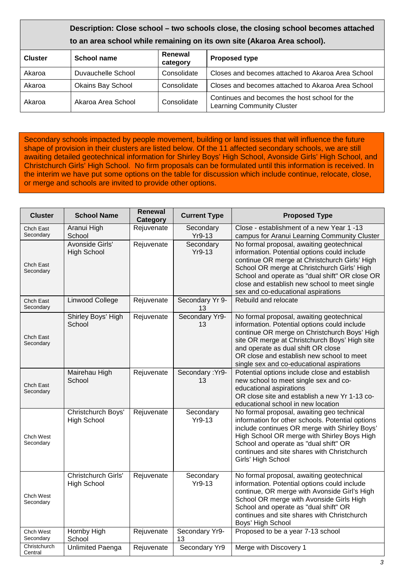## **Description: Close school – two schools close, the closing school becomes attached to an area school while remaining on its own site (Akaroa Area school). Cluster** School name Renewal **Renewal Proposed type** Akaroa Duvauchelle School Consolidate Closes and becomes attached to Akaroa Area School Akaroa | Okains Bay School | Consolidate | Closes and becomes attached to Akaroa Area School Akaroa Area School Consolidate Continues and becomes the host school for the Learning Community Cluster

Secondary schools impacted by people movement, building or land issues that will influence the future shape of provision in their clusters are listed below. Of the 11 affected secondary schools, we are still awaiting detailed geotechnical information for Shirley Boys' High School, Avonside Girls' High School, and Christchurch Girls' High School. No firm proposals can be formulated until this information is received. In the interim we have put some options on the table for discussion which include continue, relocate, close, or merge and schools are invited to provide other options.

| <b>Cluster</b>                | <b>School Name</b>                        | Renewal<br>Category | <b>Current Type</b>   | <b>Proposed Type</b>                                                                                                                                                                                                                                                                                                               |
|-------------------------------|-------------------------------------------|---------------------|-----------------------|------------------------------------------------------------------------------------------------------------------------------------------------------------------------------------------------------------------------------------------------------------------------------------------------------------------------------------|
| <b>Chch East</b><br>Secondary | Aranui High<br>School                     | Rejuvenate          | Secondary<br>$Yr9-13$ | Close - establishment of a new Year 1 -13<br>campus for Aranui Learning Community Cluster                                                                                                                                                                                                                                          |
| Chch East<br>Secondary        | Avonside Girls'<br><b>High School</b>     | Rejuvenate          | Secondary<br>Yr9-13   | No formal proposal, awaiting geotechnical<br>information. Potential options could include<br>continue OR merge at Christchurch Girls' High<br>School OR merge at Christchurch Girls' High<br>School and operate as "dual shift" OR close OR<br>close and establish new school to meet single<br>sex and co-educational aspirations |
| Chch East<br>Secondary        | Linwood College                           | Rejuvenate          | Secondary Yr 9-<br>13 | Rebuild and relocate                                                                                                                                                                                                                                                                                                               |
| Chch East<br>Secondary        | Shirley Boys' High<br>School              | Rejuvenate          | Secondary Yr9-<br>13  | No formal proposal, awaiting geotechnical<br>information. Potential options could include<br>continue OR merge on Christchurch Boys' High<br>site OR merge at Christchurch Boys' High site<br>and operate as dual shift OR close<br>OR close and establish new school to meet<br>single sex and co-educational aspirations         |
| Chch East<br>Secondary        | Mairehau High<br>School                   | Rejuvenate          | Secondary: Yr9-<br>13 | Potential options include close and establish<br>new school to meet single sex and co-<br>educational aspirations<br>OR close site and establish a new Yr 1-13 co-<br>educational school in new location                                                                                                                           |
| Chch West<br>Secondary        | Christchurch Boys'<br><b>High School</b>  | Rejuvenate          | Secondary<br>Yr9-13   | No formal proposal, awaiting geo technical<br>information for other schools. Potential options<br>include continues OR merge with Shirley Boys'<br>High School OR merge with Shirley Boys High<br>School and operate as "dual shift" OR<br>continues and site shares with Christchurch<br>Girls' High School                       |
| Chch West<br>Secondary        | Christchurch Girls'<br><b>High School</b> | Rejuvenate          | Secondary<br>Yr9-13   | No formal proposal, awaiting geotechnical<br>information. Potential options could include<br>continue, OR merge with Avonside Girl's High<br>School OR merge with Avonside Girls High<br>School and operate as "dual shift" OR<br>continues and site shares with Christchurch<br>Boys' High School                                 |
| Chch West<br>Secondary        | Hornby High<br>School                     | Rejuvenate          | Secondary Yr9-<br>13  | Proposed to be a year 7-13 school                                                                                                                                                                                                                                                                                                  |
| Christchurch<br>Central       | <b>Unlimited Paenga</b>                   | Rejuvenate          | Secondary Yr9         | Merge with Discovery 1                                                                                                                                                                                                                                                                                                             |